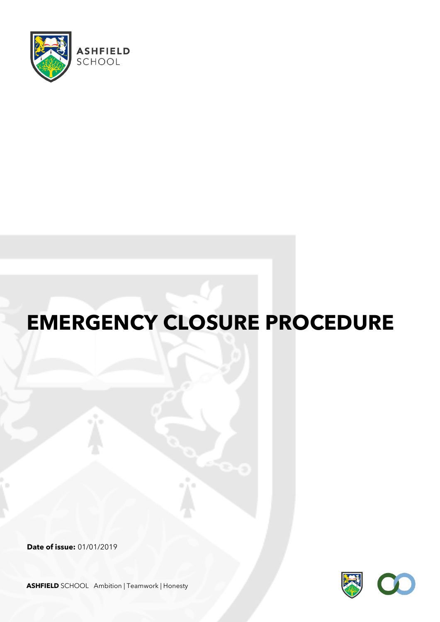

# **EMERGENCY CLOSURE PROCEDURE**

**Date of issue:** 01/01/2019



**ASHFIELD** SCHOOL Ambition | Teamwork | Honesty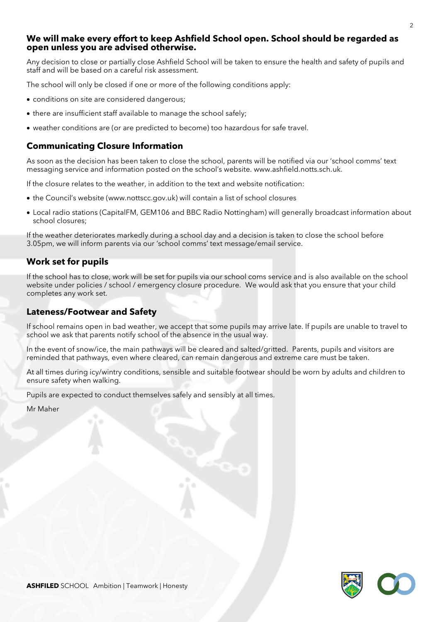#### **We will make every effort to keep Ashfield School open. School should be regarded as open unless you are advised otherwise.**

Any decision to close or partially close Ashfield School will be taken to ensure the health and safety of pupils and staff and will be based on a careful risk assessment.

The school will only be closed if one or more of the following conditions apply:

- conditions on site are considered dangerous;
- there are insufficient staff available to manage the school safely;
- weather conditions are (or are predicted to become) too hazardous for safe travel.

#### **Communicating Closure Information**

As soon as the decision has been taken to close the school, parents will be notified via our 'school comms' text messaging service and information posted on the school's website. www.ashfield.notts.sch.uk.

If the closure relates to the weather, in addition to the text and website notification:

- the Council's website (www.nottscc.gov.uk) will contain a list of school closures
- Local radio stations (CapitalFM, GEM106 and BBC Radio Nottingham) will generally broadcast information about school closures;

If the weather deteriorates markedly during a school day and a decision is taken to close the school before 3.05pm, we will inform parents via our 'school comms' text message/email service.

#### **Work set for pupils**

If the school has to close, work will be set for pupils via our school coms service and is also available on the school website under policies / school / emergency closure procedure. We would ask that you ensure that your child completes any work set.

#### **Lateness/Footwear and Safety**

If school remains open in bad weather, we accept that some pupils may arrive late. If pupils are unable to travel to school we ask that parents notify school of the absence in the usual way.

In the event of snow/ice, the main pathways will be cleared and salted/gritted. Parents, pupils and visitors are reminded that pathways, even where cleared, can remain dangerous and extreme care must be taken.

At all times during icy/wintry conditions, sensible and suitable footwear should be worn by adults and children to ensure safety when walking.

Pupils are expected to conduct themselves safely and sensibly at all times.

Mr Maher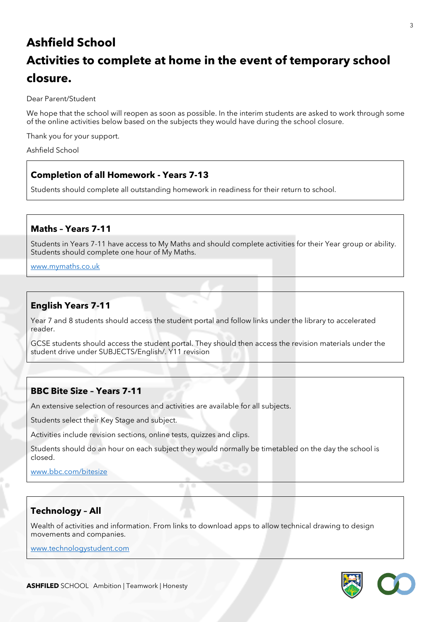# **Ashfield School Activities to complete at home in the event of temporary school closure.**

Dear Parent/Student

We hope that the school will reopen as soon as possible. In the interim students are asked to work through some of the online activities below based on the subjects they would have during the school closure.

Thank you for your support.

Ashfield School

#### **Completion of all Homework - Years 7-13**

Students should complete all outstanding homework in readiness for their return to school.

#### **Maths – Years 7-11**

Students in Years 7-11 have access to My Maths and should complete activities for their Year group or ability. Students should complete one hour of My Maths.

[www.mymaths.co.uk](http://www.mymaths.co.uk/)

## **English Years 7-11**

Year 7 and 8 students should access the student portal and follow links under the library to accelerated reader.

GCSE students should access the student portal. They should then access the revision materials under the student drive under SUBJECTS/English/. Y11 revision

#### **BBC Bite Size – Years 7-11**

An extensive selection of resources and activities are available for all subjects.

Students select their Key Stage and subject.

Activities include revision sections, online tests, quizzes and clips.

Students should do an hour on each subject they would normally be timetabled on the day the school is closed.

[www.bbc.com/bitesize](http://www.bbc.com/bitesize)

# **Technology – All**

Wealth of activities and information. From links to download apps to allow technical drawing to design movements and companies.

[www.technologystudent.com](http://www.technologystudent.com/)